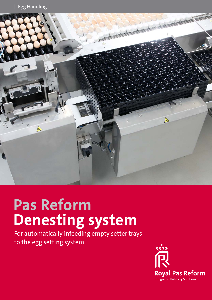

# **Pas Reform Denesting system**

For automatically infeeding empty setter trays to the egg setting system